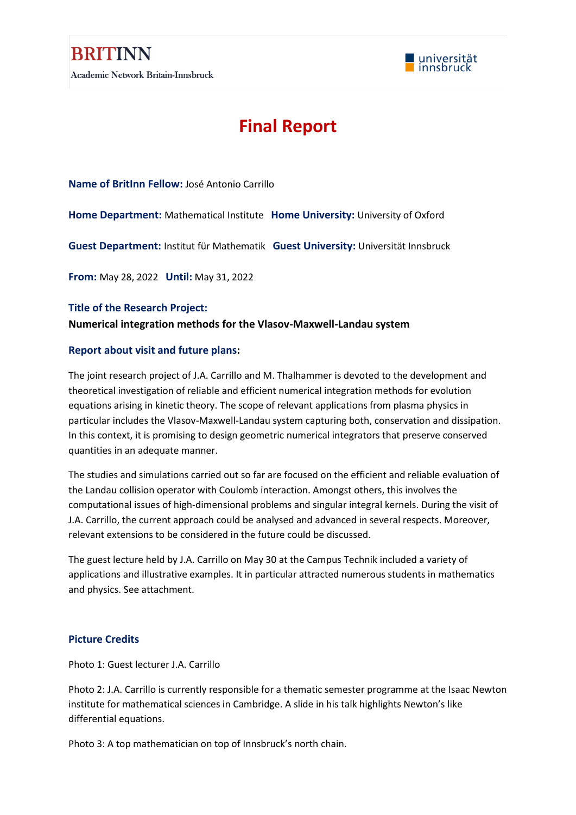

## **Final Report**

**Name of BritInn Fellow:** José Antonio Carrillo

**Home Department:** Mathematical Institute **Home University:** University of Oxford

**Guest Department:** Institut für Mathematik **Guest University:** Universität Innsbruck

**From:** May 28, 2022 **Until:** May 31, 2022

## **Title of the Research Project:**

**Numerical integration methods for the Vlasov-Maxwell-Landau system**

## **Report about visit and future plans:**

The joint research project of J.A. Carrillo and M. Thalhammer is devoted to the development and theoretical investigation of reliable and efficient numerical integration methods for evolution equations arising in kinetic theory. The scope of relevant applications from plasma physics in particular includes the Vlasov-Maxwell-Landau system capturing both, conservation and dissipation. In this context, it is promising to design geometric numerical integrators that preserve conserved quantities in an adequate manner.

The studies and simulations carried out so far are focused on the efficient and reliable evaluation of the Landau collision operator with Coulomb interaction. Amongst others, this involves the computational issues of high-dimensional problems and singular integral kernels. During the visit of J.A. Carrillo, the current approach could be analysed and advanced in several respects. Moreover, relevant extensions to be considered in the future could be discussed.

The guest lecture held by J.A. Carrillo on May 30 at the Campus Technik included a variety of applications and illustrative examples. It in particular attracted numerous students in mathematics and physics. See attachment.

## **Picture Credits**

Photo 1: Guest lecturer J.A. Carrillo

Photo 2: J.A. Carrillo is currently responsible for a thematic semester programme at the Isaac Newton institute for mathematical sciences in Cambridge. A slide in his talk highlights Newton's like differential equations.

Photo 3: A top mathematician on top of Innsbruck's north chain.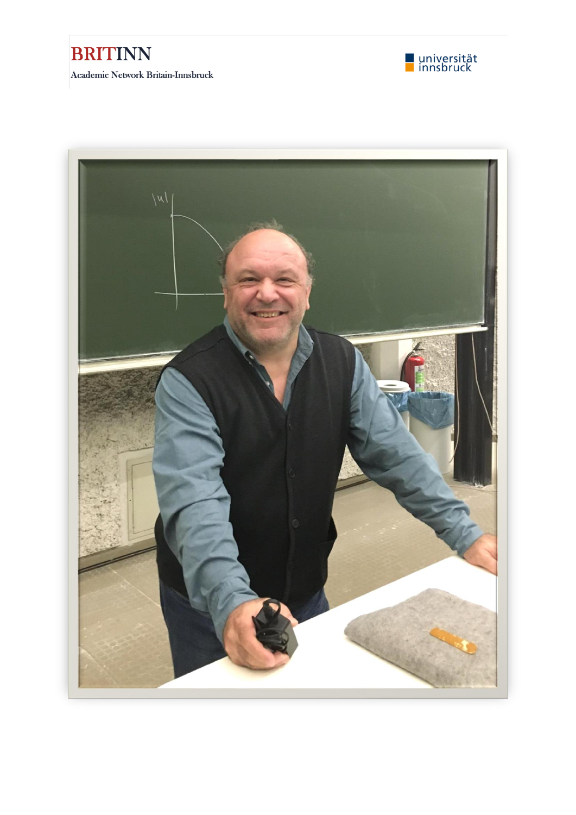